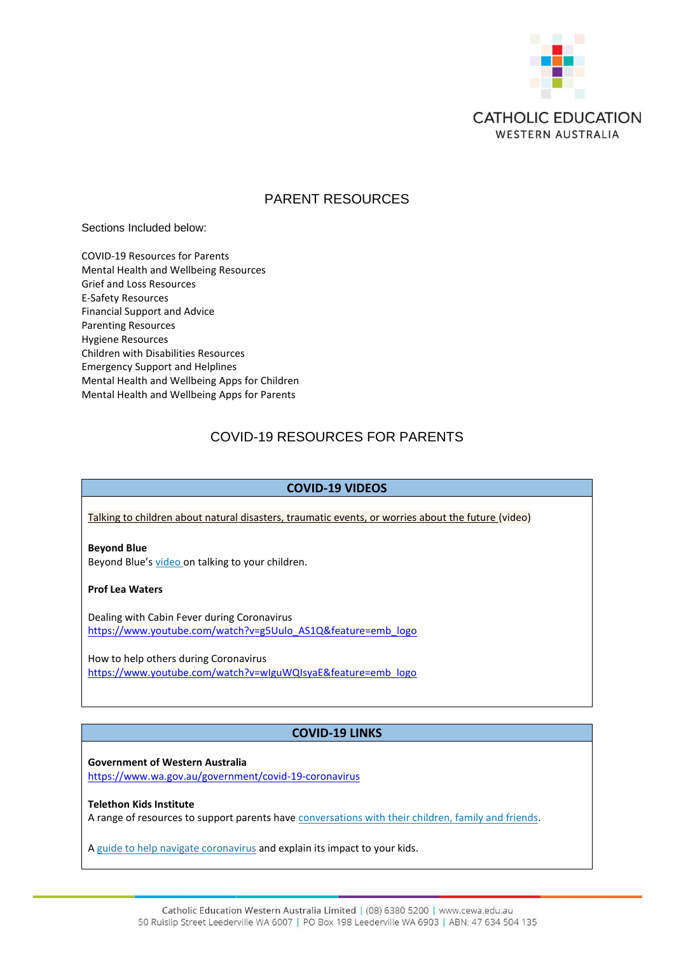

### PARENT RESOURCES

Sections Included below:

COVID-19 Resources for Parents Mental Health and Wellbeing Resources Grief and Loss Resources E-Safety Resources Financial Support and Advice Parenting Resources Hygiene Resources Children with Disabilities Resources Emergency Support and Helplines Mental Health and Wellbeing Apps for Children Mental Health and Wellbeing Apps for Parents

### COVID-19 RESOURCES FOR PARENTS

### **COVID-19 VIDEOS**

[Talking to children about natural disasters, traumatic events, or worries about the future](http://vimeo.com/394049129) (video)

### **Beyond Blue**

Beyond Blue's [video](http://www.youtube.com/watch?v=r_URnXXK4Ag) on talking to your children.

### **Prof Lea Waters**

Dealing with Cabin Fever during Coronavirus [https://www.youtube.com/watch?v=g5Uulo\\_AS1Q&feature=emb\\_logo](https://www.youtube.com/watch?v=g5Uulo_AS1Q&feature=emb_logo)

How to help others during Coronavirus [https://www.youtube.com/watch?v=wIguWQIsyaE&feature=emb\\_logo](https://www.youtube.com/watch?v=wIguWQIsyaE&feature=emb_logo)

### **COVID-19 LINKS**

**Government of Western Australia**

<https://www.wa.gov.au/government/covid-19-coronavirus>

**Telethon Kids Institute**

A range of resources to support parents have [conversations with their children, family and friends.](http://www.telethonkids.org.au/campaigns/2020/covid19/)

A [guide to help navigate coronavirus](http://www.telethonkids.org.au/news--events/news-and-events-nav/2020/march/tips-for-discussing-coronavirus-with-your-kids/) and explain its impact to your kids.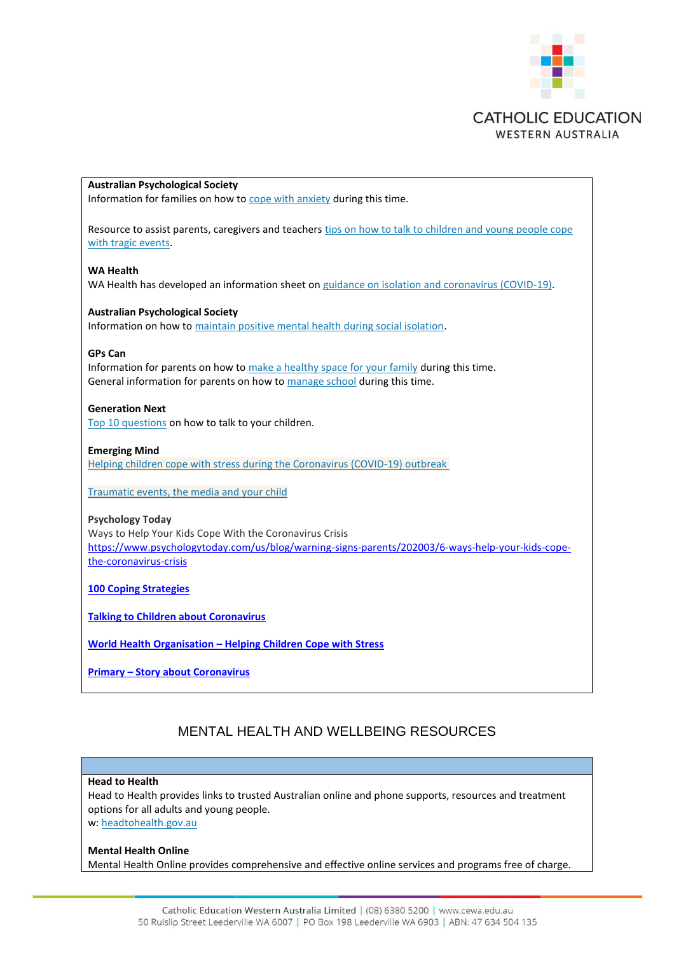

# **Australian Psychological Society** Information for families on how to [cope with anxiety](https://www.psychology.org.au/getmedia/5a4f6500-b5af-4482-9157-5392265d53ce/20APS-IS-COVID-19-Public-P2_1.pdf) during this time. Resource to assist parents, caregivers and teachers tips on how to talk to children and young people cope [with tragic events.](http://www.psychology.org.au/getmedia/a61fcf9d-dc4c-40f3-b94d-65995c85995b/Helping-children-affected-tragic-events.pdf) **WA Health** WA Health has developed an information sheet on [guidance on isolation and coronavirus \(COVID-19\).](https://www.health.gov.au/sites/default/files/documents/2020/03/coronavirus-covid-19-isolation-guidance_6.pdf) **Australian Psychological Society** Information on how to [maintain positive mental health during social isolation.](https://www.psychology.org.au/getmedia/d7cb8abd-3192-4b8f-a245-ace9b8ef44d5/20APS-IS-COVID-19-Isolation-P1.pdf) **GPs Can** Information for parents on how to [make a healthy space for your family](https://www.gps-can.com.au/covid19-blog/healthy-space) during this time. General information for parents on how to [manage school](https://www.gps-can.com.au/covid19-blog/a-guide-school) during this time. **Generation Next** [Top 10 questions](https://www.generationnext.com.au/2020/03/how-to-talk-to-your-children-about-coronavirus-top-10-questions-answered/) on how to talk to your children. **Emerging Mind**  [Helping children cope with stress during the Coronavirus \(COVID-19\) outbreak](http://emergingminds.com.au/resources/helping-children-cope-with-stress-during-the-coronavirus-covid-19-outbreak/) [Traumatic events, the media and your child](https://emergingminds.com.au/resources/traumatic-events-the-media-and-your-child/) **Psychology Today**  Ways to Help Your Kids Cope With the Coronavirus Crisis [https://www.psychologytoday.com/us/blog/warning-signs-parents/202003/6-ways-help-your-kids-cope](https://www.psychologytoday.com/us/blog/warning-signs-parents/202003/6-ways-help-your-kids-cope-the-coronavirus-crisis)[the-coronavirus-crisis](https://www.psychologytoday.com/us/blog/warning-signs-parents/202003/6-ways-help-your-kids-cope-the-coronavirus-crisis) **[100 Coping Strategies](https://youthfocus.com.au/wp-content/uploads/2018/06/YF_Chatterbox_Coping-Strategies_A3_FA.pdf) [Talking to Children about Coronavirus](https://www.bps.org.uk/sites/www.bps.org.uk/files/Policy/Policy%20-%20Files/Talking%20to%20children%20about%20coronavirus.pdf) World Health Organisation – [Helping Children Cope with Stress](https://www.who.int/docs/default-source/coronaviruse/helping-children-cope-with-stress-print.pdf?sfvrsn=f3a063ff_2) Primary – [Story about Coronavirus](https://www.elsa-support.co.uk/wp-content/uploads/2020/03/Coronavirus-story-for-children-1.pdf)**

### MENTAL HEALTH AND WELLBEING RESOURCES

### **Head to Health**

Head to Health provides links to trusted Australian online and phone supports, resources and treatment options for all adults and young people. w: [headtohealth.gov.au](http://headtohealth.gov.au/)

### **Mental Health Online**

Mental Health Online provides comprehensive and effective online services and programs free of charge.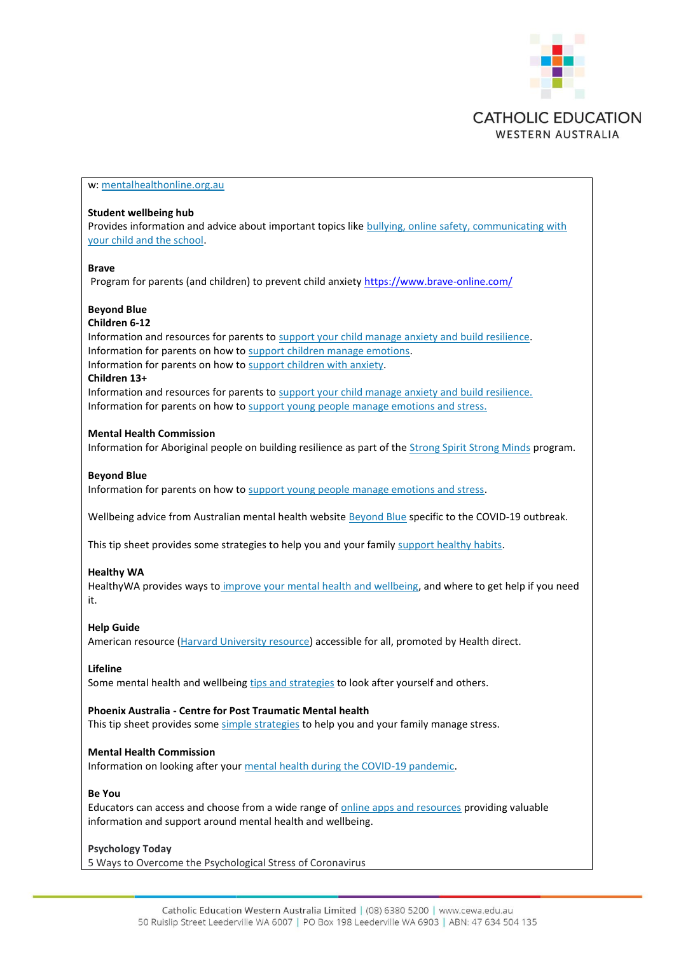

### w: [mentalhealthonline.org.au](http://mentalhealthonline.org.au/)

#### **Student wellbeing hub**

Provides information and advice about important topics like [bullying, online safety, communicating with](http://studentwellbeinghub.edu.au/parents/)  [your child and the school.](http://studentwellbeinghub.edu.au/parents/)

### **Brave**

Program for parents (and children) to prevent child anxiet[y https://www.brave-online.com/](https://www.brave-online.com/)

### **Beyond Blue**

### **Children 6-12**

Information and resources for parents to [support your child manage anxiety and build resilience.](https://healthyfamilies.beyondblue.org.au/age-6-12) Information for parents on how to [support children manage emotions.](https://healthyfamilies.beyondblue.org.au/age-6-12/raising-resilient-children/managing-emotions) Information for parents on how to [support children with anxiety.](https://healthyfamilies.beyondblue.org.au/age-6-12/mental-health-conditions-in-children/anxiety/strategies-to-support-anxious-children) **Children 13+**

Information and resources for parents to [support your child manage anxiety and build resilience.](https://healthyfamilies.beyondblue.org.au/age-13) Information for parents on how to [support young people manage emotions and stress.](https://healthyfamilies.beyondblue.org.au/age-13/raising-resilient-young-people/managing-emotions-and-stress)

### **Mental Health Commission**

Information for Aboriginal people on building resilience as part of the [Strong Spirit Strong Minds](https://www.mhc.wa.gov.au/media/2728/making-changes.pdf) program.

### **Beyond Blue**

Information for parents on how to [support young people manage emotions and stress.](https://healthyfamilies.beyondblue.org.au/age-13/raising-resilient-young-people/managing-emotions-and-stress)

Wellbeing advice from Australian mental health website [Beyond Blu](https://www.beyondblue.org.au/the-facts/looking-after-your-mental-health-during-the-coronavirus-outbreak)[e](http://www.beyondblue.org.au/the-facts/looking-after-your-mental-health-during-the-coronavirus-outbreak) specific to the COVID-19 outbreak.

This tip sheet provides some strategies to help you and your family [support healthy habits.](https://healthyfamilies.beyondblue.org.au/healthy-homes/supporting-healthy-habits)

### **Healthy WA**

HealthyWA provides ways to [improve your mental health and wellbeing,](https://healthywa.wa.gov.au/Articles/F_I/Good-mental-health-and-wellbeing) and where to get help if you need it.

### **Help Guide**

American resource [\(Harvard University resource\)](https://www.helpguide.org/articles/anxiety/coronavirus-anxiety.htm) accessible for all, promoted by Health direct.

### **Lifeline**

Some mental health and wellbeing [tips and strategies](https://www.lifeline.org.au/get-help/topics/mental-health-and-wellbeing-during-the-coronavirus-covid-19-outbreak) to look after yourself and others.

#### **Phoenix Australia - Centre for Post Traumatic Mental health**

This tip sheet provides some [simple strategies](https://www.phoenixaustralia.org/wp-content/uploads/2020/03/Coronavirus-Families-tip-sheet.pdf) to help you and your family manage stress.

#### **Mental Health Commission**

Information on looking after your [mental health during the COVID-19 pandemic.](https://www.mhc.wa.gov.au/about-us/news-and-media/news-updates/looking-after-your-mental-health-during-the-covid-19-pandemic/)

### **Be You**

Educators can access and choose from a wide range of [online apps and resources](https://beyou.edu.au/resources/tools-and-guides/wellbeing-tools-for-you) providing valuable information and support around mental health and wellbeing.

### **Psychology Today**

5 Ways to Overcome the Psychological Stress of Coronavirus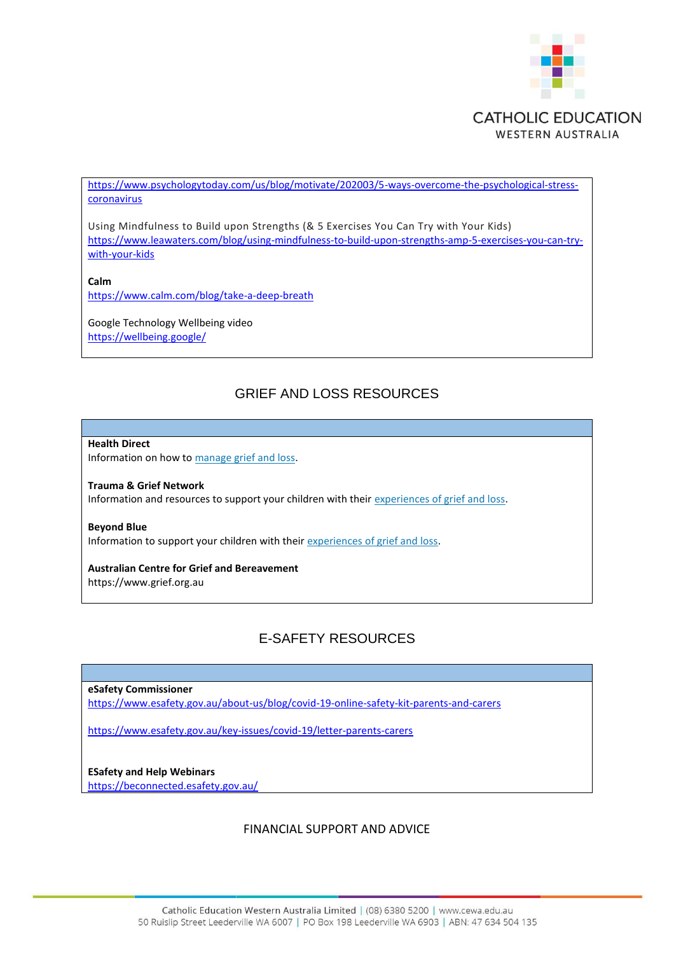

[https://www.psychologytoday.com/us/blog/motivate/202003/5-ways-overcome-the-psychological-stress](https://www.psychologytoday.com/us/blog/motivate/202003/5-ways-overcome-the-psychological-stress-coronavirus)**[coronavirus](https://www.psychologytoday.com/us/blog/motivate/202003/5-ways-overcome-the-psychological-stress-coronavirus)** 

Using Mindfulness to Build upon Strengths (& 5 Exercises You Can Try with Your Kids) [https://www.leawaters.com/blog/using-mindfulness-to-build-upon-strengths-amp-5-exercises-you-can-try](https://www.leawaters.com/blog/using-mindfulness-to-build-upon-strengths-amp-5-exercises-you-can-try-with-your-kids)[with-your-kids](https://www.leawaters.com/blog/using-mindfulness-to-build-upon-strengths-amp-5-exercises-you-can-try-with-your-kids)

**Calm**

<https://www.calm.com/blog/take-a-deep-breath>

Google Technology Wellbeing video <https://wellbeing.google/>

## GRIEF AND LOSS RESOURCES

**Health Direct**

Information on how to [manage grief and loss.](https://www.healthdirect.gov.au/grief-loss)

**Trauma & Grief Network** Information and resources to support your children with their [experiences of grief and loss.](https://tgn.anu.edu.au/resource/grief-loss/)

**Beyond Blue** Information to support your children with their [experiences of grief and loss.](https://healthyfamilies.beyondblue.org.au/healthy-homes/loss-and-grief)

**Australian Centre for Grief and Bereavement**  https://www.grief.org.au

# E-SAFETY RESOURCES

**eSafety Commissioner**

<https://www.esafety.gov.au/about-us/blog/covid-19-online-safety-kit-parents-and-carers>

<https://www.esafety.gov.au/key-issues/covid-19/letter-parents-carers>

**ESafety and Help Webinars** <https://beconnected.esafety.gov.au/>

### FINANCIAL SUPPORT AND ADVICE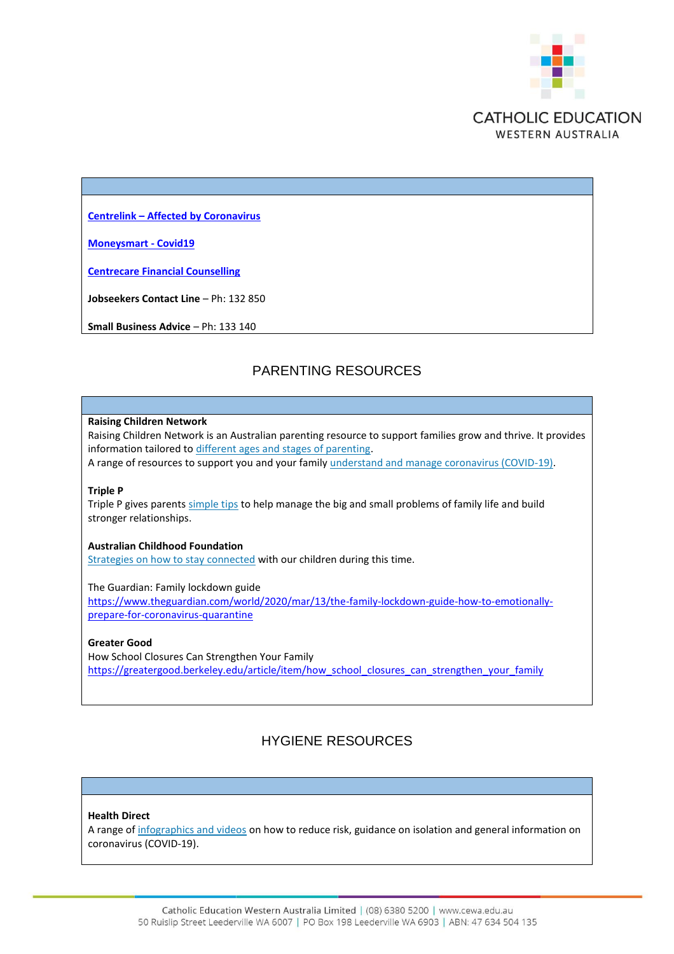

**Centrelink – [Affected by Coronavirus](https://www.servicesaustralia.gov.au/individuals/subjects/affected-coronavirus-covid-19)**

**[Moneysmart -](https://moneysmart.gov.au/covid-19) Covid19**

**[Centrecare Financial Counselling](https://www.centrecare.com.au/services/metropolitan-services-metro/financial-counselling/)**

**Jobseekers Contact Line** – Ph: 132 850

**Small Business Advice** – Ph: 133 140

### PARENTING RESOURCES

#### **Raising Children Network**

Raising Children Network is an Australian parenting resource to support families grow and thrive. It provides information tailored to [different ages and stages of parenting.](https://raisingchildren.net.au/)

A range of resources to support you and your family [understand and manage coronavirus \(COVID-19\).](https://raisingchildren.net.au/guides/a-z-health-reference/coronavirus-and-children-in-australia)

### **Triple P**

Triple P gives parents [simple tips](https://www.triplep-parenting.net.au/au-uken/find-help/triple-p-parenting-in-western-australia/) to help manage the big and small problems of family life and build stronger relationships.

#### **Australian Childhood Foundation**

[Strategies on how to stay connected](https://professionals.childhood.org.au/app/uploads/2020/03/Covid.pdf) with our children during this time.

#### The Guardian: Family lockdown guide

[https://www.theguardian.com/world/2020/mar/13/the-family-lockdown-guide-how-to-emotionally](https://www.theguardian.com/world/2020/mar/13/the-family-lockdown-guide-how-to-emotionally-prepare-for-coronavirus-quarantine)[prepare-for-coronavirus-quarantine](https://www.theguardian.com/world/2020/mar/13/the-family-lockdown-guide-how-to-emotionally-prepare-for-coronavirus-quarantine)

### **Greater Good**

How School Closures Can Strengthen Your Family [https://greatergood.berkeley.edu/article/item/how\\_school\\_closures\\_can\\_strengthen\\_your\\_family](https://greatergood.berkeley.edu/article/item/how_school_closures_can_strengthen_your_family)

### HYGIENE RESOURCES

### **Health Direct**

A range of [infographics and videos](http://www.healthdirect.gov.au/coronavirus-covid-19-in-pictures) on how to reduce risk, guidance on isolation and general information on coronavirus (COVID-19).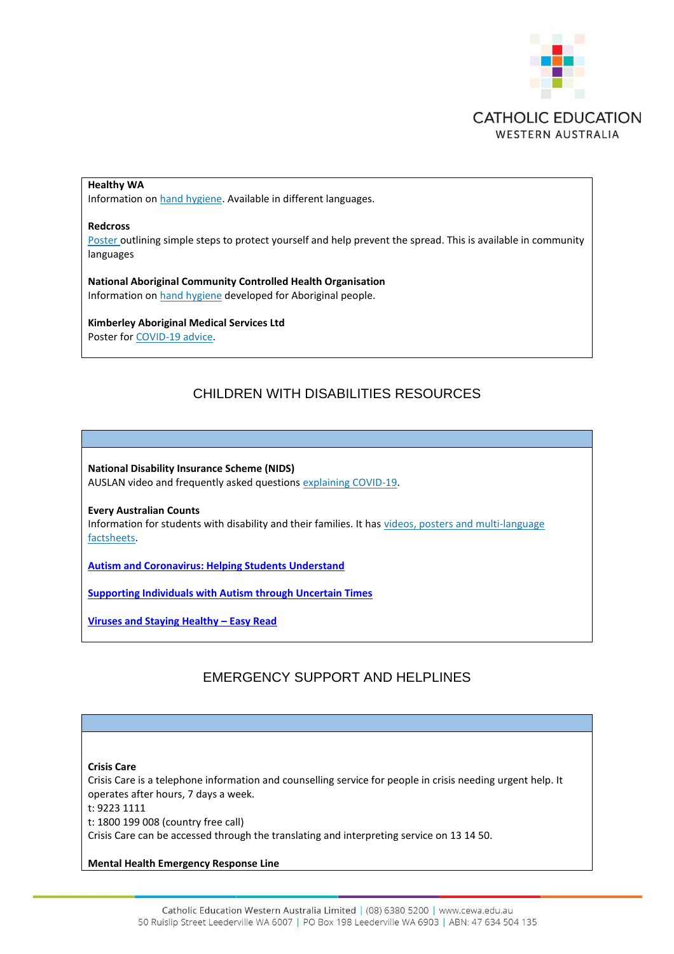

### **Healthy WA**

Information on [hand hygiene.](http://healthywa.wa.gov.au/Articles/F_I/Facts-about-hand-hygiene) Available in different languages.

#### **Redcross**

[Poster](https://www.redcross.org.au/coronavirus) outlining simple steps to protect yourself and help prevent the spread. This is available in community languages

**National Aboriginal Community Controlled Health Organisation** Information on [hand hygiene](http://nacchocommunique.com/category/corona-virus/) developed for Aboriginal people.

**Kimberley Aboriginal Medical Services Ltd**

Poster for [COVID-19 advice.](http://kams.org.au/wp-content/uploads/2020/03/KAMs_Covid19_a3_download.pdf)

# CHILDREN WITH DISABILITIES RESOURCES

**National Disability Insurance Scheme (NIDS)** AUSLAN video and frequently asked questions [explaining COVID-19.](https://www.ndis.gov.au/understanding/ndis-and-other-government-services/ndis-and-disaster-response)

### **Every Australian Counts**

Information for students with disability and their families. It has [videos, posters and multi-language](https://everyaustraliancounts.com.au/emergency-information-for-ndis-participants-and-families-about-the-coronavirus)  [factsheets.](https://everyaustraliancounts.com.au/emergency-information-for-ndis-participants-and-families-about-the-coronavirus)

**[Autism and Coronavirus: Helping Students Understand](https://usevisualstrategies.com/autism-coronavirus-helping-students-understand/)**

**[Supporting Individuals with Autism through Uncertain Times](https://afirm.fpg.unc.edu/sites/afirm.fpg.unc.edu/files/covid-resources/Supporting%20Individuals%20with%20Autism%20through%20Uncertian%20Times%20Full%20Packet.pdf)**

**[Viruses and Staying Healthy](https://cid.org.au/wp-content/uploads/2020/03/Viruses-staying-healthy-Council-Intellectual-Disability.pdf) – Easy Read**

# EMERGENCY SUPPORT AND HELPLINES

### **Crisis Care**

Crisis Care is a telephone information and counselling service for people in crisis needing urgent help. It operates after hours, 7 days a week.

t: 9223 1111

t: 1800 199 008 (country free call)

Crisis Care can be accessed through the translating and interpreting service on 13 14 50.

### **Mental Health Emergency Response Line**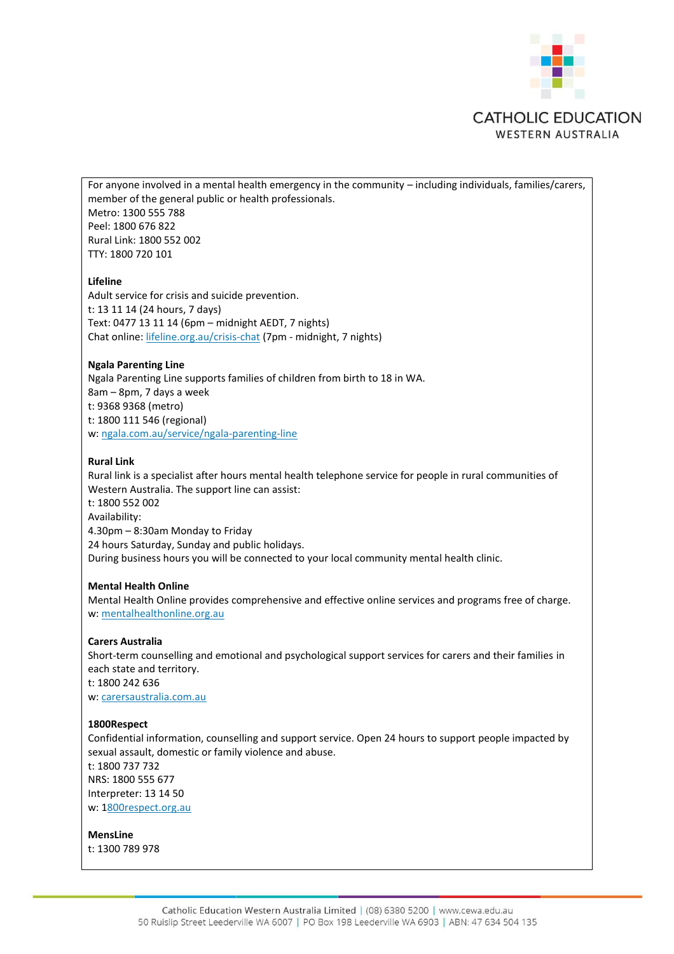

For anyone involved in a mental health emergency in the community – including individuals, families/carers, member of the general public or health professionals. Metro: 1300 555 788 Peel: 1800 676 822 Rural Link: 1800 552 002 TTY: 1800 720 101

### **Lifeline**

Adult service for crisis and suicide prevention. t: 13 11 14 (24 hours, 7 days) Text: 0477 13 11 14 (6pm – midnight AEDT, 7 nights) Chat online: [lifeline.org.au/crisis-chat](http://lifeline.org.au/crisis-chat%C2%A0) (7pm - midnight, 7 nights)

### **Ngala Parenting Line**

Ngala Parenting Line supports families of children from birth to 18 in WA. 8am – 8pm, 7 days a week t: 9368 9368 (metro) t: 1800 111 546 (regional) w: [ngala.com.au/service/ngala-parenting-line](http://ngala.com.au/service/ngala-parenting-line)

### **Rural Link**

Rural link is a specialist after hours mental health telephone service for people in rural communities of Western Australia. The support line can assist: t: 1800 552 002 Availability: 4.30pm – 8:30am Monday to Friday 24 hours Saturday, Sunday and public holidays. During business hours you will be connected to your local community mental health clinic.

### **Mental Health Online**

Mental Health Online provides comprehensive and effective online services and programs free of charge. w: [mentalhealthonline.org.au](http://mentalhealthonline.org.au/)

### **Carers Australia**

Short-term counselling and emotional and psychological support services for carers and their families in each state and territory. t: 1800 242 636 w: [carersaustralia.com.au](http://carersaustralia.com.au/)

### **1800Respect**

Confidential information, counselling and support service. Open 24 hours to support people impacted by sexual assault, domestic or family violence and abuse. t: 1800 737 732 NRS: 1800 555 677 Interpreter: 13 14 50 w: [1800respect.org.au](http://800respect.org.au/)

**MensLine** t: 1300 789 978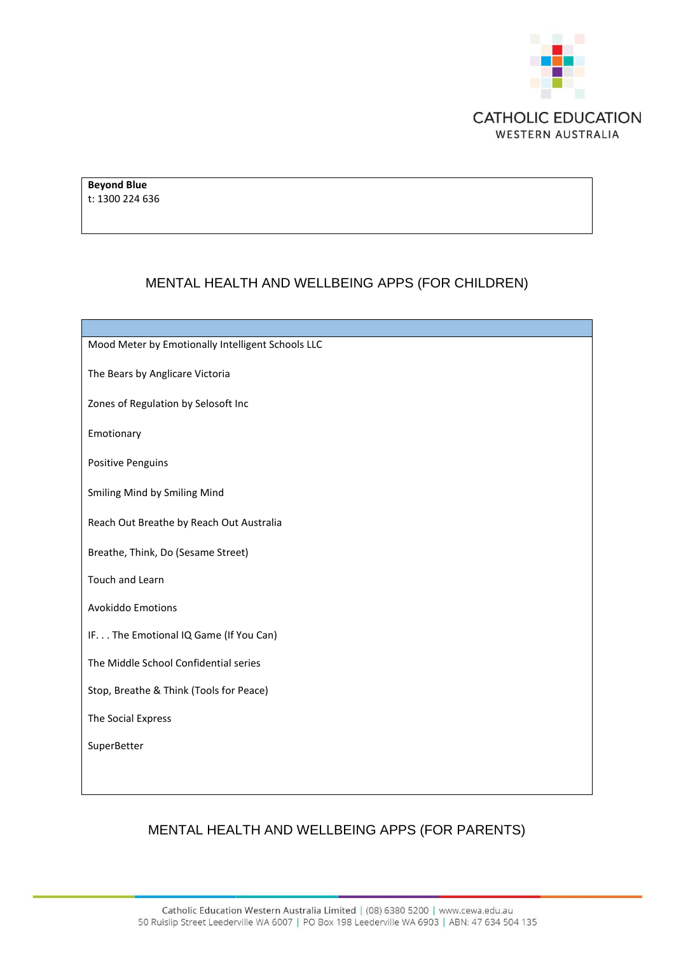

**Beyond Blue** t: 1300 224 636

### MENTAL HEALTH AND WELLBEING APPS (FOR CHILDREN)

Mood Meter by Emotionally Intelligent Schools LLC The Bears by Anglicare Victoria Zones of Regulation by Selosoft Inc Emotionary Positive Penguins Smiling Mind by Smiling Mind Reach Out Breathe by Reach Out Australia Breathe, Think, Do (Sesame Street) Touch and Learn Avokiddo Emotions IF. . . The Emotional IQ Game (If You Can) The Middle School Confidential series Stop, Breathe & Think (Tools for Peace) The Social Express **SuperBetter** 

# MENTAL HEALTH AND WELLBEING APPS (FOR PARENTS)